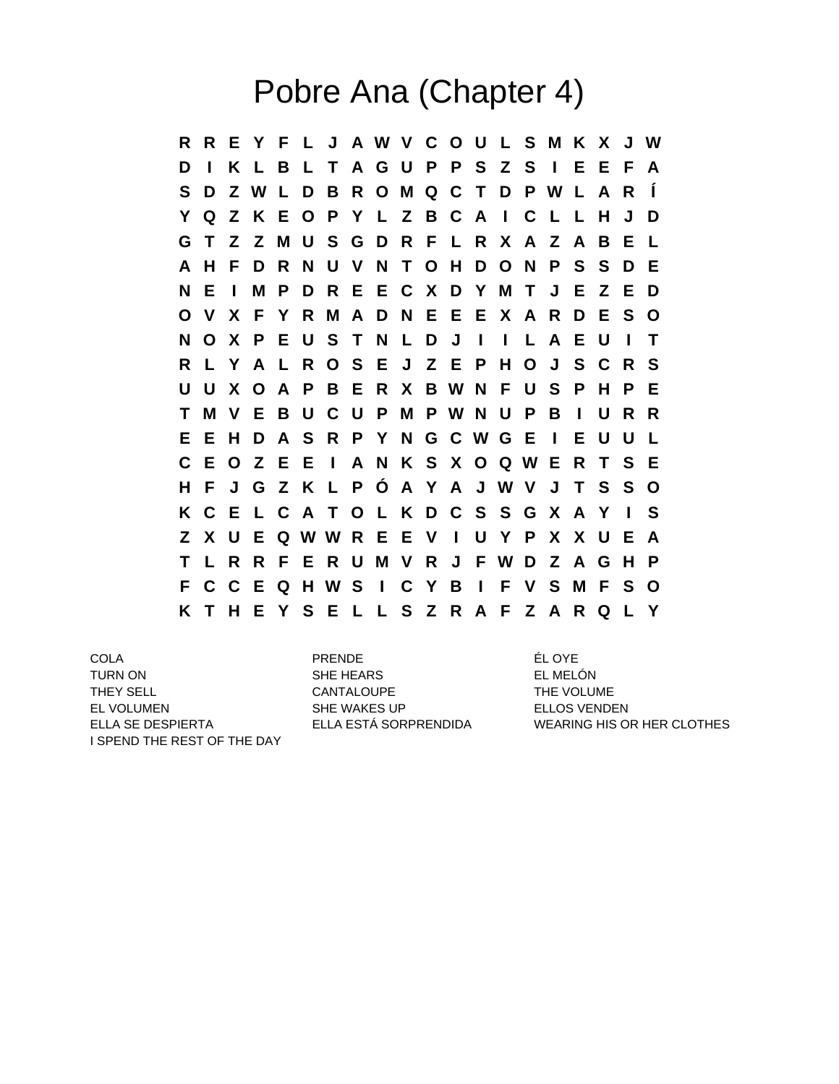## Pobre Ana (Chapter 4)

**R R E Y F L J A W V C O U L S M K X J W D I K L B L T A G U P P S Z S I E E F A S D Z W L D B R O M Q C T D P W L A R Í Y Q Z K E O P Y L Z B C A I C L L H J D G T Z Z M U S G D R F L R X A Z A B E L A H F D R N U V N T O H D O N P S S D E N E I M P D R E E C X D Y M T J E Z E D O V X F Y R M A D N E E E X A R D E S O N O X P E U S T N L D J I I L A E U I T R L Y A L R O S E J Z E P H O J S C R S U U X O A P B E R X B W N F U S P H P E T M V E B U C U P M P W N U P B I U R R E E H D A S R P Y N G C W G E I E U U L C E O Z E E I A N K S X O Q W E R T S E H F J G Z K L P Ó A Y A J W V J T S S O K C E L C A T O L K D C S S G X A Y I S Z X U E Q W W R E E V I U Y P X X U E A T L R R F E R U M V R J F W D Z A G H P F C C E Q H W S I C Y B I F V S M F S O K T H E Y S E L L S Z R A F Z A R Q L Y**

COLA PRENDE ÉL OYE TURN ON SHE HEARS EL MELÓN THEY SELL **THE VOLUME** CANTALOUPE **THE VOLUME** EL VOLUMEN SHE WAKES UP FILLOS VENDEN I SPEND THE REST OF THE DAY

ELLA SE DESPIERTA ELLA ESTÁ SORPRENDIDA WEARING HIS OR HER CLOTHES